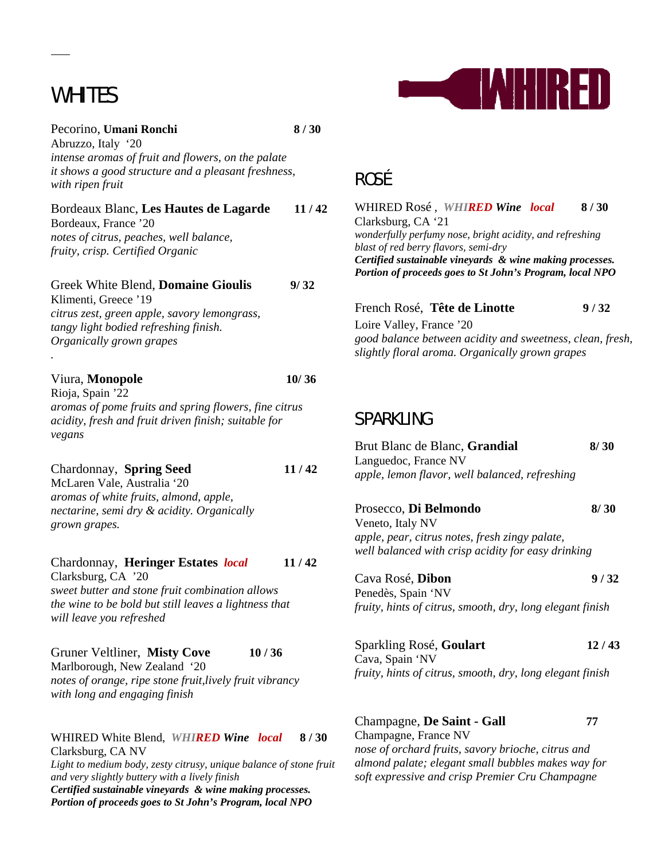# WHITES

 $\overline{a}$ 

*.* 



Pecorino, **Umani Ronchi** 8/30 Abruzzo, Italy '20 *intense aromas of fruit and flowers, on the palate it shows a good structure and a pleasant freshness, with ripen fruit*

Bordeaux Blanc, **Les Hautes de Lagarde 11 / 42** Bordeaux, France '20 *notes of citrus, peaches, well balance,* 

*fruity, crisp. Certified Organic*

Greek White Blend, **Domaine Gioulis 9/ 32** Klimenti, Greece '19 *citrus zest, green apple, savory lemongrass, tangy light bodied refreshing finish. Organically grown grapes*

### Viura, **Monopole 10/ 36**

Rioja, Spain '22 *aromas of pome fruits and spring flowers, fine citrus acidity, fresh and fruit driven finish; suitable for vegans*

### Chardonnay, **Spring Seed 11 / 42**

McLaren Vale, Australia '20 *aromas of white fruits, almond, apple, nectarine, semi dry & acidity. Organically grown grapes.*

### Chardonnay, **Heringer Estates** *local* **11 / 42** Clarksburg, CA '20 *sweet butter and stone fruit combination allows the wine to be bold but still leaves a lightness that*

*will leave you refreshed*

Gruner Veltliner, **Misty Cove 10 / 36** Marlborough, New Zealand '20

*notes of orange, ripe stone fruit,lively fruit vibrancy with long and engaging finish* 

#### WHIRED White Blend,*WHIRED Wine**local* **8 / 30**  Clarksburg, CA NV

*Light to medium body, zesty citrusy, unique balance of stone fruit and very slightly buttery with a lively finish Certified sustainable vineyards & wine making processes. Portion of proceeds goes to St John's Program, local NPO* 

# ROSÉ

WHIRED Rosé ,*WHIRED Wine**local* **8 / 30**  Clarksburg, CA '21 *wonderfully perfumy nose, bright acidity, and refreshing blast of red berry flavors, semi-dry Certified sustainable vineyards & wine making processes. Portion of proceeds goes to St John's Program, local NPO* 

| French Rosé, Tête de Linotte                              | 9/32 |
|-----------------------------------------------------------|------|
| Loire Valley, France '20                                  |      |
| good balance between acidity and sweetness, clean, fresh, |      |
| slightly floral aroma. Organically grown grapes           |      |

### SPARKLING

| Brut Blanc de Blanc, Grandial<br>Languedoc, France NV                                                | 8/30  |
|------------------------------------------------------------------------------------------------------|-------|
| apple, lemon flavor, well balanced, refreshing                                                       |       |
| Prosecco, Di Belmondo                                                                                | 8/30  |
| Veneto, Italy NV                                                                                     |       |
| apple, pear, citrus notes, fresh zingy palate,<br>well balanced with crisp acidity for easy drinking |       |
| Cava Rosé, Dibon                                                                                     | 9/32  |
| Penedès, Spain 'NV                                                                                   |       |
| fruity, hints of citrus, smooth, dry, long elegant finish                                            |       |
| Sparkling Rosé, Goulart<br>Cava, Spain 'NV                                                           | 12/43 |
| fruity, hints of citrus, smooth, dry, long elegant finish                                            |       |
|                                                                                                      |       |
|                                                                                                      |       |

Champagne, **De Saint - Gall 77** Champagne, France NV *nose of orchard fruits, savory brioche, citrus and almond palate; elegant small bubbles makes way for soft expressive and crisp Premier Cru Champagne*